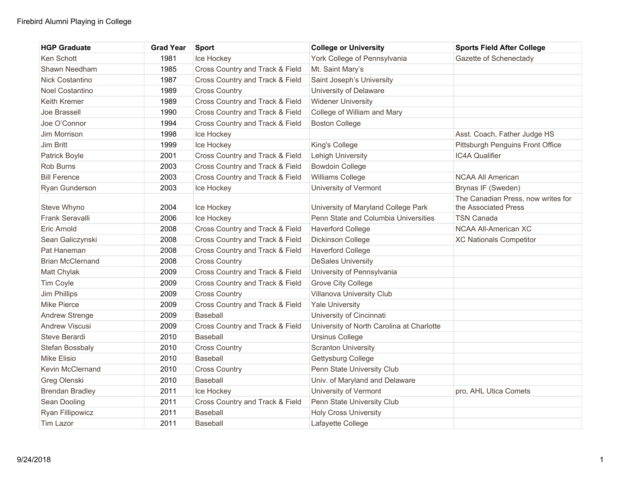| <b>HGP Graduate</b>     | <b>Grad Year</b> | <b>Sport</b>                    | <b>College or University</b>              | <b>Sports Field After College</b>  |
|-------------------------|------------------|---------------------------------|-------------------------------------------|------------------------------------|
| Ken Schott              | 1981             | Ice Hockey                      | York College of Pennsylvania              | Gazette of Schenectady             |
| Shawn Needham           | 1985             | Cross Country and Track & Field | Mt. Saint Mary's                          |                                    |
| Nick Costantino         | 1987             | Cross Country and Track & Field | Saint Joseph's University                 |                                    |
| Noel Costantino         | 1989             | <b>Cross Country</b>            | University of Delaware                    |                                    |
| Keith Kremer            | 1989             | Cross Country and Track & Field | <b>Widener University</b>                 |                                    |
| Joe Brassell            | 1990             | Cross Country and Track & Field | College of William and Mary               |                                    |
| Joe O'Connor            | 1994             | Cross Country and Track & Field | <b>Boston College</b>                     |                                    |
| Jim Morrison            | 1998             | Ice Hockey                      |                                           | Asst. Coach, Father Judge HS       |
| Jim Britt               | 1999             | Ice Hockey                      | King's College                            | Pittsburgh Penguins Front Office   |
| Patrick Boyle           | 2001             | Cross Country and Track & Field | Lehigh University                         | IC4A Qualifier                     |
| Rob Burns               | 2003             | Cross Country and Track & Field | <b>Bowdoin College</b>                    |                                    |
| <b>Bill Ference</b>     | 2003             | Cross Country and Track & Field | Williams College                          | <b>NCAA All American</b>           |
| Ryan Gunderson          | 2003             | Ice Hockey                      | University of Vermont                     | Brynas IF (Sweden)                 |
|                         |                  |                                 |                                           | The Canadian Press, now writes for |
| Steve Whyno             | 2004             | Ice Hockey                      | University of Maryland College Park       | the Associated Press               |
| Frank Seravalli         | 2006             | Ice Hockey                      | Penn State and Columbia Universities      | <b>TSN Canada</b>                  |
| Eric Arnold             | 2008             | Cross Country and Track & Field | <b>Haverford College</b>                  | NCAA All-American XC               |
| Sean Galiczynski        | 2008             | Cross Country and Track & Field | Dickinson College                         | <b>XC Nationals Competitor</b>     |
| Pat Haneman             | 2008             | Cross Country and Track & Field | <b>Haverford College</b>                  |                                    |
| <b>Brian McClernand</b> | 2008             | <b>Cross Country</b>            | <b>DeSales University</b>                 |                                    |
| Matt Chylak             | 2009             | Cross Country and Track & Field | University of Pennsylvania                |                                    |
| Tim Coyle               | 2009             | Cross Country and Track & Field | <b>Grove City College</b>                 |                                    |
| Jim Phillips            | 2009             | <b>Cross Country</b>            | Villanova University Club                 |                                    |
| Mike Pierce             | 2009             | Cross Country and Track & Field | <b>Yale University</b>                    |                                    |
| <b>Andrew Strenge</b>   | 2009             | Baseball                        | University of Cincinnati                  |                                    |
| <b>Andrew Viscusi</b>   | 2009             | Cross Country and Track & Field | University of North Carolina at Charlotte |                                    |
| Steve Berardi           | 2010             | <b>Baseball</b>                 | <b>Ursinus College</b>                    |                                    |
| Stefan Bossbaly         | 2010             | <b>Cross Country</b>            | <b>Scranton University</b>                |                                    |
| Mike Elisio             | 2010             | <b>Baseball</b>                 | Gettysburg College                        |                                    |
| Kevin McClernand        | 2010             | <b>Cross Country</b>            | Penn State University Club                |                                    |
| Greg Olenski            | 2010             | Baseball                        | Univ. of Maryland and Delaware            |                                    |
| <b>Brendan Bradley</b>  | 2011             | Ice Hockey                      | University of Vermont                     | pro, AHL Utica Comets              |
| Sean Dooling            | 2011             | Cross Country and Track & Field | Penn State University Club                |                                    |
| Ryan Fillipowicz        | 2011             | <b>Baseball</b>                 | <b>Holy Cross University</b>              |                                    |
| Tim Lazor               | 2011             | Baseball                        | Lafayette College                         |                                    |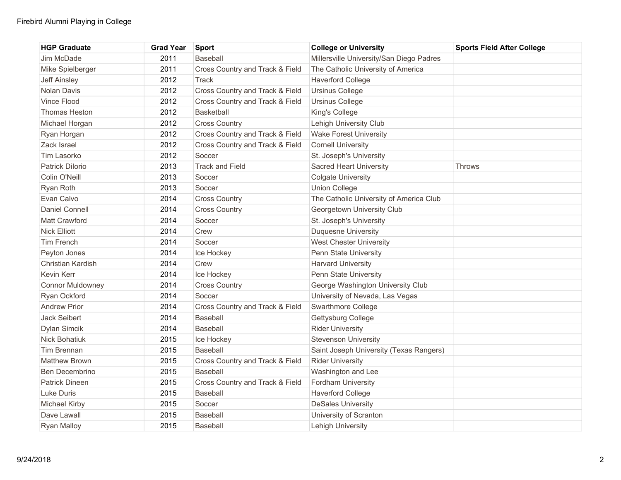| <b>HGP Graduate</b>     | <b>Grad Year</b> | <b>Sport</b>                    | <b>College or University</b>             | <b>Sports Field After College</b> |
|-------------------------|------------------|---------------------------------|------------------------------------------|-----------------------------------|
| Jim McDade              | 2011             | Baseball                        | Millersville University/San Diego Padres |                                   |
| Mike Spielberger        | 2011             | Cross Country and Track & Field | The Catholic University of America       |                                   |
| <b>Jeff Ainsley</b>     | 2012             | Track                           | <b>Haverford College</b>                 |                                   |
| <b>Nolan Davis</b>      | 2012             | Cross Country and Track & Field | <b>Ursinus College</b>                   |                                   |
| Vince Flood             | 2012             | Cross Country and Track & Field | <b>Ursinus College</b>                   |                                   |
| Thomas Heston           | 2012             | <b>Basketball</b>               | King's College                           |                                   |
| Michael Horgan          | 2012             | <b>Cross Country</b>            | Lehigh University Club                   |                                   |
| Ryan Horgan             | 2012             | Cross Country and Track & Field | <b>Wake Forest University</b>            |                                   |
| Zack Israel             | 2012             | Cross Country and Track & Field | <b>Cornell University</b>                |                                   |
| Tim Lasorko             | 2012             | Soccer                          | St. Joseph's University                  |                                   |
| Patrick Dilorio         | 2013             | <b>Track and Field</b>          | <b>Sacred Heart University</b>           | <b>Throws</b>                     |
| Colin O'Neill           | 2013             | Soccer                          | <b>Colgate University</b>                |                                   |
| Ryan Roth               | 2013             | Soccer                          | <b>Union College</b>                     |                                   |
| Evan Calvo              | 2014             | <b>Cross Country</b>            | The Catholic University of America Club  |                                   |
| <b>Daniel Connell</b>   | 2014             | <b>Cross Country</b>            | Georgetown University Club               |                                   |
| Matt Crawford           | 2014             | Soccer                          | St. Joseph's University                  |                                   |
| <b>Nick Elliott</b>     | 2014             | Crew                            | Duquesne University                      |                                   |
| <b>Tim French</b>       | 2014             | Soccer                          | <b>West Chester University</b>           |                                   |
| Peyton Jones            | 2014             | Ice Hockey                      | Penn State University                    |                                   |
| Christian Kardish       | 2014             | Crew                            | <b>Harvard University</b>                |                                   |
| <b>Kevin Kerr</b>       | 2014             | Ice Hockey                      | Penn State University                    |                                   |
| <b>Connor Muldowney</b> | 2014             | <b>Cross Country</b>            | George Washington University Club        |                                   |
| Ryan Ockford            | 2014             | Soccer                          | University of Nevada, Las Vegas          |                                   |
| <b>Andrew Prior</b>     | 2014             | Cross Country and Track & Field | Swarthmore College                       |                                   |
| Jack Seibert            | 2014             | <b>Baseball</b>                 | Gettysburg College                       |                                   |
| Dylan Simcik            | 2014             | Baseball                        | <b>Rider University</b>                  |                                   |
| Nick Bohatiuk           | 2015             | Ice Hockey                      | <b>Stevenson University</b>              |                                   |
| Tim Brennan             | 2015             | Baseball                        | Saint Joseph University (Texas Rangers)  |                                   |
| <b>Matthew Brown</b>    | 2015             | Cross Country and Track & Field | <b>Rider University</b>                  |                                   |
| Ben Decembrino          | 2015             | Baseball                        | Washington and Lee                       |                                   |
| <b>Patrick Dineen</b>   | 2015             | Cross Country and Track & Field | Fordham University                       |                                   |
| Luke Duris              | 2015             | <b>Baseball</b>                 | <b>Haverford College</b>                 |                                   |
| Michael Kirby           | 2015             | Soccer                          | <b>DeSales University</b>                |                                   |
| Dave Lawall             | 2015             | <b>Baseball</b>                 | University of Scranton                   |                                   |
| <b>Ryan Malloy</b>      | 2015             | Baseball                        | Lehigh University                        |                                   |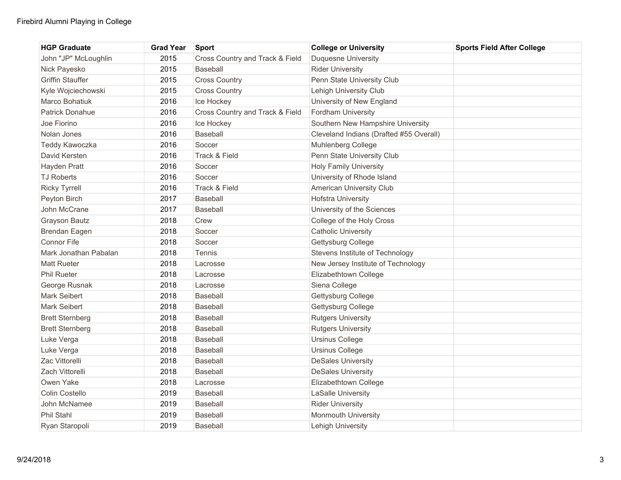| <b>HGP Graduate</b>     | <b>Grad Year</b> | <b>Sport</b>                    | <b>College or University</b>            | <b>Sports Field After College</b> |
|-------------------------|------------------|---------------------------------|-----------------------------------------|-----------------------------------|
| John "JP" McLoughlin    | 2015             | Cross Country and Track & Field | <b>Duquesne University</b>              |                                   |
| Nick Payesko            | 2015             | <b>Baseball</b>                 | <b>Rider University</b>                 |                                   |
| <b>Griffin Stauffer</b> | 2015             | <b>Cross Country</b>            | Penn State University Club              |                                   |
| Kyle Wojciechowski      | 2015             | <b>Cross Country</b>            | Lehigh University Club                  |                                   |
| Marco Bohatiuk          | 2016             | Ice Hockey                      | University of New England               |                                   |
| <b>Patrick Donahue</b>  | 2016             | Cross Country and Track & Field | Fordham University                      |                                   |
| Joe Fiorino             | 2016             | Ice Hockey                      | Southern New Hampshire University       |                                   |
| Nolan Jones             | 2016             | <b>Baseball</b>                 | Cleveland Indians (Drafted #55 Overall) |                                   |
| Teddy Kawoczka          | 2016             | Soccer                          | <b>Muhlenberg College</b>               |                                   |
| David Kersten           | 2016             | Track & Field                   | Penn State University Club              |                                   |
| Hayden Pratt            | 2016             | Soccer                          | <b>Holy Family University</b>           |                                   |
| <b>TJ Roberts</b>       | 2016             | Soccer                          | University of Rhode Island              |                                   |
| <b>Ricky Tyrrell</b>    | 2016             | Track & Field                   | American University Club                |                                   |
| Peyton Birch            | 2017             | <b>Baseball</b>                 | <b>Hofstra University</b>               |                                   |
| John McCrane            | 2017             | <b>Baseball</b>                 | University of the Sciences              |                                   |
| Grayson Bautz           | 2018             | Crew                            | College of the Holy Cross               |                                   |
| Brendan Eagen           | 2018             | Soccer                          | <b>Catholic University</b>              |                                   |
| <b>Connor Fife</b>      | 2018             | Soccer                          | Gettysburg College                      |                                   |
| Mark Jonathan Pabalan   | 2018             | Tennis                          | Stevens Institute of Technology         |                                   |
| <b>Matt Rueter</b>      | 2018             | Lacrosse                        | New Jersey Institute of Technology      |                                   |
| <b>Phil Rueter</b>      | 2018             | Lacrosse                        | Elizabethtown College                   |                                   |
| George Rusnak           | 2018             | Lacrosse                        | Siena College                           |                                   |
| <b>Mark Seibert</b>     | 2018             | <b>Baseball</b>                 | Gettysburg College                      |                                   |
| Mark Seibert            | 2018             | <b>Baseball</b>                 | Gettysburg College                      |                                   |
| <b>Brett Sternberg</b>  | 2018             | <b>Baseball</b>                 | <b>Rutgers University</b>               |                                   |
| <b>Brett Sternberg</b>  | 2018             | Baseball                        | <b>Rutgers University</b>               |                                   |
| Luke Verga              | 2018             | <b>Baseball</b>                 | <b>Ursinus College</b>                  |                                   |
| Luke Verga              | 2018             | <b>Baseball</b>                 | <b>Ursinus College</b>                  |                                   |
| Zac Vittorelli          | 2018             | Baseball                        | <b>DeSales University</b>               |                                   |
| Zach Vittorelli         | 2018             | <b>Baseball</b>                 | <b>DeSales University</b>               |                                   |
| Owen Yake               | 2018             | Lacrosse                        | Elizabethtown College                   |                                   |
| Colin Costello          | 2019             | <b>Baseball</b>                 | LaSalle University                      |                                   |
| John McNamee            | 2019             | <b>Baseball</b>                 | <b>Rider University</b>                 |                                   |
| Phil Stahl              | 2019             | <b>Baseball</b>                 | <b>Monmouth University</b>              |                                   |
| Ryan Staropoli          | 2019             | <b>Baseball</b>                 | Lehigh University                       |                                   |